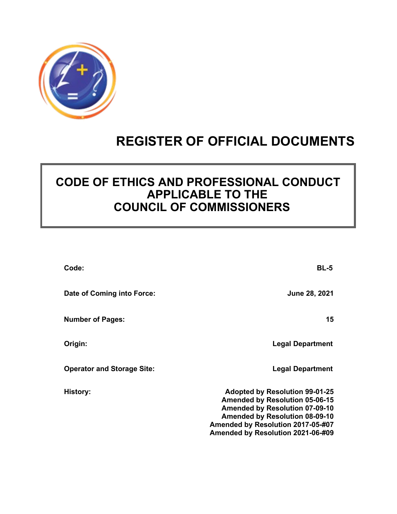

# **REGISTER OF OFFICIAL DOCUMENTS**

## **CODE OF ETHICS AND PROFESSIONAL CONDUCT APPLICABLE TO THE COUNCIL OF COMMISSIONERS**

| Code:                             | BL-5                                                                                                                                                                                                                                       |
|-----------------------------------|--------------------------------------------------------------------------------------------------------------------------------------------------------------------------------------------------------------------------------------------|
| Date of Coming into Force:        | <b>June 28, 2021</b>                                                                                                                                                                                                                       |
| <b>Number of Pages:</b>           | 15                                                                                                                                                                                                                                         |
| Origin:                           | <b>Legal Department</b>                                                                                                                                                                                                                    |
| <b>Operator and Storage Site:</b> | <b>Legal Department</b>                                                                                                                                                                                                                    |
| <b>History:</b>                   | <b>Adopted by Resolution 99-01-25</b><br><b>Amended by Resolution 05-06-15</b><br><b>Amended by Resolution 07-09-10</b><br><b>Amended by Resolution 08-09-10</b><br>Amended by Resolution 2017-05-#07<br>Amended by Resolution 2021-06-#09 |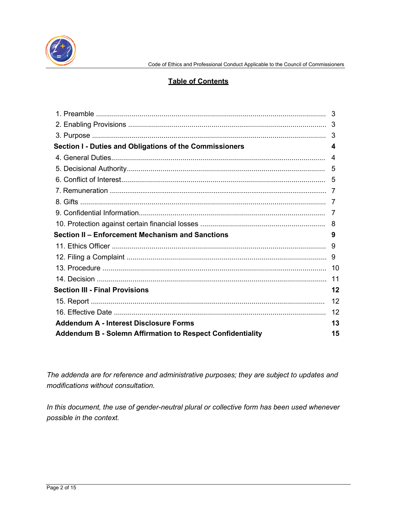

#### **Table of Contents**

|                                                                   | 3   |
|-------------------------------------------------------------------|-----|
|                                                                   | 3   |
|                                                                   |     |
| Section I - Duties and Obligations of the Commissioners           | 4   |
|                                                                   | 4   |
|                                                                   | 5   |
|                                                                   |     |
|                                                                   |     |
|                                                                   |     |
|                                                                   |     |
|                                                                   |     |
| Section II - Enforcement Mechanism and Sanctions                  | 9   |
|                                                                   |     |
|                                                                   |     |
|                                                                   |     |
|                                                                   | 11  |
| <b>Section III - Final Provisions</b>                             | 12  |
|                                                                   | -12 |
|                                                                   | 12  |
| <b>Addendum A - Interest Disclosure Forms</b>                     | 13  |
| <b>Addendum B - Solemn Affirmation to Respect Confidentiality</b> | 15  |

*The addenda are for reference and administrative purposes; they are subject to updates and modifications without consultation.*

*In this document, the use of gender-neutral plural or collective form has been used whenever possible in the context.*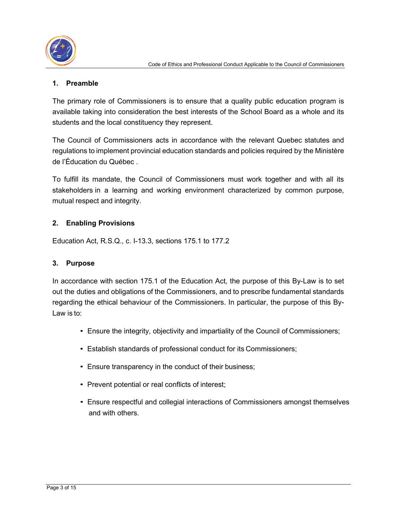

## **1. Preamble**

The primary role of Commissioners is to ensure that a quality public education program is available taking into consideration the best interests of the School Board as a whole and its students and the local constituency they represent.

The Council of Commissioners acts in accordance with the relevant Quebec statutes and regulations to implement provincial education standards and policies required by the Ministère de l'Éducation du Québec .

To fulfill its mandate, the Council of Commissioners must work together and with all its stakeholders in a learning and working environment characterized by common purpose, mutual respect and integrity.

## **2. Enabling Provisions**

Education Act, R.S.Q., c. I-13.3, sections 175.1 to 177.2

#### **3. Purpose**

In accordance with section 175.1 of the Education Act, the purpose of this By-Law is to set out the duties and obligations of the Commissioners, and to prescribe fundamental standards regarding the ethical behaviour of the Commissioners. In particular, the purpose of this By-Law is to:

- Ensure the integrity, objectivity and impartiality of the Council of Commissioners;
- Establish standards of professional conduct for its Commissioners;
- Ensure transparency in the conduct of their business;
- Prevent potential or real conflicts of interest;
- Ensure respectful and collegial interactions of Commissioners amongst themselves and with others.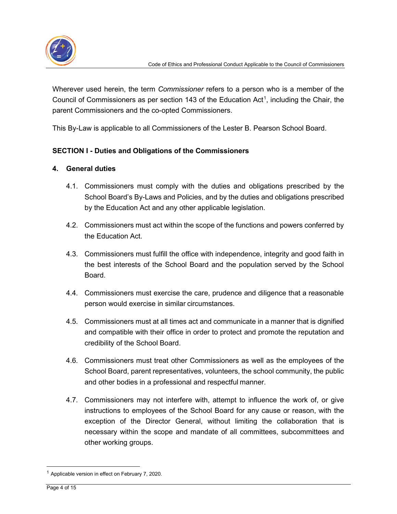

Wherever used herein, the term *Commissioner* refers to a person who is a member of the Council of Commissioners as per section [1](#page-3-0)43 of the Education Act<sup>1</sup>, including the Chair, the parent Commissioners and the co-opted Commissioners.

This By-Law is applicable to all Commissioners of the Lester B. Pearson School Board.

## **SECTION I - Duties and Obligations of the Commissioners**

#### **4. General duties**

- 4.1. Commissioners must comply with the duties and obligations prescribed by the School Board's By-Laws and Policies, and by the duties and obligations prescribed by the Education Act and any other applicable legislation.
- 4.2. Commissioners must act within the scope of the functions and powers conferred by the Education Act.
- 4.3. Commissioners must fulfill the office with independence, integrity and good faith in the best interests of the School Board and the population served by the School Board.
- 4.4. Commissioners must exercise the care, prudence and diligence that a reasonable person would exercise in similar circumstances.
- 4.5. Commissioners must at all times act and communicate in a manner that is dignified and compatible with their office in order to protect and promote the reputation and credibility of the School Board.
- 4.6. Commissioners must treat other Commissioners as well as the employees of the School Board, parent representatives, volunteers, the school community, the public and other bodies in a professional and respectful manner.
- 4.7. Commissioners may not interfere with, attempt to influence the work of, or give instructions to employees of the School Board for any cause or reason, with the exception of the Director General, without limiting the collaboration that is necessary within the scope and mandate of all committees, subcommittees and other working groups.

<span id="page-3-0"></span><sup>&</sup>lt;sup>1</sup> Applicable version in effect on February 7, 2020.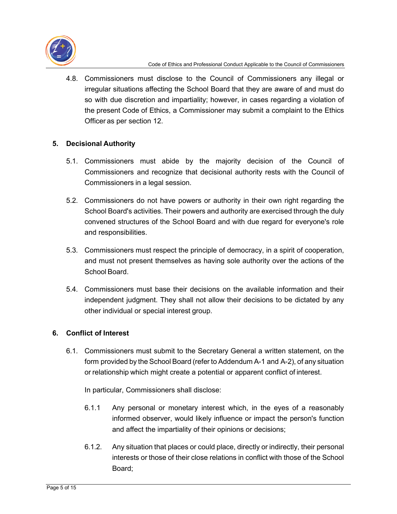

4.8. Commissioners must disclose to the Council of Commissioners any illegal or irregular situations affecting the School Board that they are aware of and must do so with due discretion and impartiality; however, in cases regarding a violation of the present Code of Ethics, a Commissioner may submit a complaint to the Ethics Officer as per section 12.

## **5. Decisional Authority**

- 5.1. Commissioners must abide by the majority decision of the Council of Commissioners and recognize that decisional authority rests with the Council of Commissioners in a legal session.
- 5.2. Commissioners do not have powers or authority in their own right regarding the School Board's activities. Their powers and authority are exercised through the duly convened structures of the School Board and with due regard for everyone's role and responsibilities.
- 5.3. Commissioners must respect the principle of democracy, in a spirit of cooperation, and must not present themselves as having sole authority over the actions of the School Board.
- 5.4. Commissioners must base their decisions on the available information and their independent judgment. They shall not allow their decisions to be dictated by any other individual or special interest group.

## **6. Conflict of Interest**

6.1. Commissioners must submit to the Secretary General a written statement, on the form provided by the School Board (refer to Addendum A-1 and A-2), of any situation or relationship which might create a potential or apparent conflict of interest.

In particular, Commissioners shall disclose:

- 6.1.1 Any personal or monetary interest which, in the eyes of a reasonably informed observer, would likely influence or impact the person's function and affect the impartiality of their opinions or decisions;
- 6.1.2. Any situation that places or could place, directly or indirectly, their personal interests or those of their close relations in conflict with those of the School Board;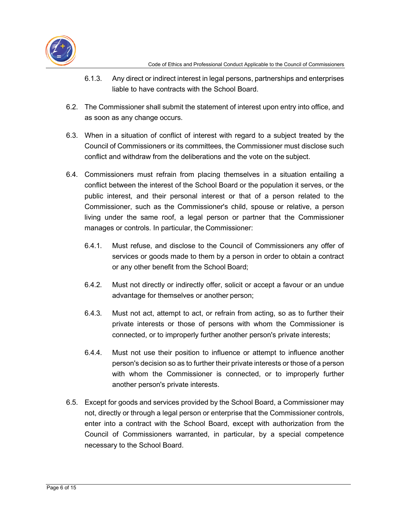

- 6.1.3. Any direct or indirect interest in legal persons, partnerships and enterprises liable to have contracts with the School Board.
- 6.2. The Commissioner shall submit the statement of interest upon entry into office, and as soon as any change occurs.
- 6.3. When in a situation of conflict of interest with regard to a subject treated by the Council of Commissioners or its committees, the Commissioner must disclose such conflict and withdraw from the deliberations and the vote on the subject.
- 6.4. Commissioners must refrain from placing themselves in a situation entailing a conflict between the interest of the School Board or the population it serves, or the public interest, and their personal interest or that of a person related to the Commissioner, such as the Commissioner's child, spouse or relative, a person living under the same roof, a legal person or partner that the Commissioner manages or controls. In particular, the Commissioner:
	- 6.4.1. Must refuse, and disclose to the Council of Commissioners any offer of services or goods made to them by a person in order to obtain a contract or any other benefit from the School Board;
	- 6.4.2. Must not directly or indirectly offer, solicit or accept a favour or an undue advantage for themselves or another person;
	- 6.4.3. Must not act, attempt to act, or refrain from acting, so as to further their private interests or those of persons with whom the Commissioner is connected, or to improperly further another person's private interests;
	- 6.4.4. Must not use their position to influence or attempt to influence another person's decision so as to further their private interests or those of a person with whom the Commissioner is connected, or to improperly further another person's private interests.
- 6.5. Except for goods and services provided by the School Board, a Commissioner may not, directly or through a legal person or enterprise that the Commissioner controls, enter into a contract with the School Board, except with authorization from the Council of Commissioners warranted, in particular, by a special competence necessary to the School Board.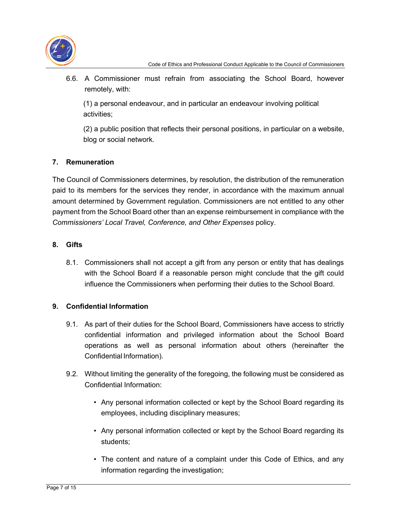

6.6. A Commissioner must refrain from associating the School Board, however remotely, with:

(1) a personal endeavour, and in particular an endeavour involving political activities;

(2) a public position that reflects their personal positions, in particular on a website, blog or social network.

## **7. Remuneration**

The Council of Commissioners determines, by resolution, the distribution of the remuneration paid to its members for the services they render, in accordance with the maximum annual amount determined by Government regulation. Commissioners are not entitled to any other payment from the School Board other than an expense reimbursement in compliance with the *Commissioners' Local Travel, Conference, and Other Expenses* policy.

## **8. Gifts**

8.1. Commissioners shall not accept a gift from any person or entity that has dealings with the School Board if a reasonable person might conclude that the gift could influence the Commissioners when performing their duties to the School Board.

## **9. Confidential Information**

- 9.1. As part of their duties for the School Board, Commissioners have access to strictly confidential information and privileged information about the School Board operations as well as personal information about others (hereinafter the Confidential Information).
- 9.2. Without limiting the generality of the foregoing, the following must be considered as Confidential Information:
	- Any personal information collected or kept by the School Board regarding its employees, including disciplinary measures;
	- Any personal information collected or kept by the School Board regarding its students;
	- The content and nature of a complaint under this Code of Ethics, and any information regarding the investigation;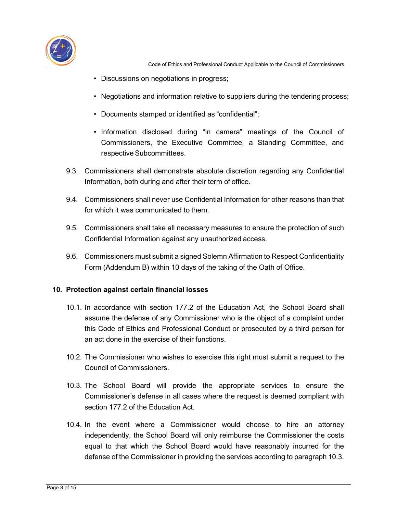

- Discussions on negotiations in progress;
- Negotiations and information relative to suppliers during the tendering process;
- Documents stamped or identified as "confidential";
- Information disclosed during "in camera" meetings of the Council of Commissioners, the Executive Committee, a Standing Committee, and respective Subcommittees.
- 9.3. Commissioners shall demonstrate absolute discretion regarding any Confidential Information, both during and after their term of office.
- 9.4. Commissioners shall never use Confidential Information for other reasons than that for which it was communicated to them.
- 9.5. Commissioners shall take all necessary measures to ensure the protection of such Confidential Information against any unauthorized access.
- 9.6. Commissioners must submit a signed Solemn Affirmation to Respect Confidentiality Form (Addendum B) within 10 days of the taking of the Oath of Office.

## **10. Protection against certain financial losses**

- 10.1. In accordance with section 177.2 of the Education Act, the School Board shall assume the defense of any Commissioner who is the object of a complaint under this Code of Ethics and Professional Conduct or prosecuted by a third person for an act done in the exercise of their functions.
- 10.2. The Commissioner who wishes to exercise this right must submit a request to the Council of Commissioners.
- 10.3. The School Board will provide the appropriate services to ensure the Commissioner's defense in all cases where the request is deemed compliant with section 177.2 of the Education Act.
- 10.4. In the event where a Commissioner would choose to hire an attorney independently, the School Board will only reimburse the Commissioner the costs equal to that which the School Board would have reasonably incurred for the defense of the Commissioner in providing the services according to paragraph 10.3.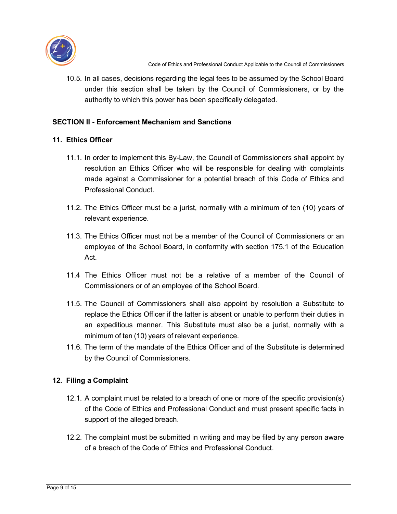

10.5. In all cases, decisions regarding the legal fees to be assumed by the School Board under this section shall be taken by the Council of Commissioners, or by the authority to which this power has been specifically delegated.

#### **SECTION II - Enforcement Mechanism and Sanctions**

#### **11. Ethics Officer**

- 11.1. In order to implement this By-Law, the Council of Commissioners shall appoint by resolution an Ethics Officer who will be responsible for dealing with complaints made against a Commissioner for a potential breach of this Code of Ethics and Professional Conduct.
- 11.2. The Ethics Officer must be a jurist, normally with a minimum of ten (10) years of relevant experience.
- 11.3. The Ethics Officer must not be a member of the Council of Commissioners or an employee of the School Board, in conformity with section 175.1 of the Education Act.
- 11.4 The Ethics Officer must not be a relative of a member of the Council of Commissioners or of an employee of the School Board.
- 11.5. The Council of Commissioners shall also appoint by resolution a Substitute to replace the Ethics Officer if the latter is absent or unable to perform their duties in an expeditious manner. This Substitute must also be a jurist, normally with a minimum of ten (10) years of relevant experience.
- 11.6. The term of the mandate of the Ethics Officer and of the Substitute is determined by the Council of Commissioners.

## **12. Filing a Complaint**

- 12.1. A complaint must be related to a breach of one or more of the specific provision(s) of the Code of Ethics and Professional Conduct and must present specific facts in support of the alleged breach.
- 12.2. The complaint must be submitted in writing and may be filed by any person aware of a breach of the Code of Ethics and Professional Conduct.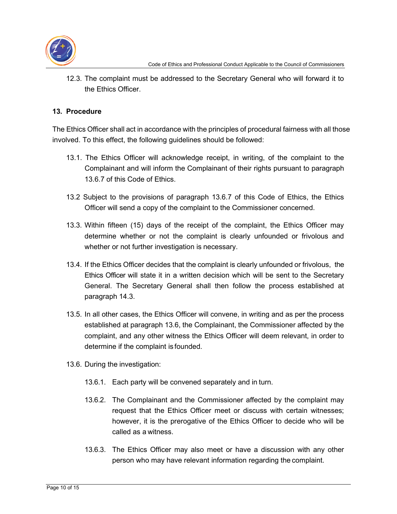

12.3. The complaint must be addressed to the Secretary General who will forward it to the Ethics Officer.

#### **13. Procedure**

The Ethics Officer shall act in accordance with the principles of procedural fairness with all those involved. To this effect, the following guidelines should be followed:

- 13.1. The Ethics Officer will acknowledge receipt, in writing, of the complaint to the Complainant and will inform the Complainant of their rights pursuant to paragraph 13.6.7 of this Code of Ethics.
- 13.2 Subject to the provisions of paragraph 13.6.7 of this Code of Ethics, the Ethics Officer will send a copy of the complaint to the Commissioner concerned.
- 13.3. Within fifteen (15) days of the receipt of the complaint, the Ethics Officer may determine whether or not the complaint is clearly unfounded or frivolous and whether or not further investigation is necessary.
- 13.4. If the Ethics Officer decides that the complaint is clearly unfounded or frivolous, the Ethics Officer will state it in a written decision which will be sent to the Secretary General. The Secretary General shall then follow the process established at paragraph 14.3.
- 13.5. In all other cases, the Ethics Officer will convene, in writing and as per the process established at paragraph 13.6, the Complainant, the Commissioner affected by the complaint, and any other witness the Ethics Officer will deem relevant, in order to determine if the complaint is founded.
- 13.6. During the investigation:
	- 13.6.1. Each party will be convened separately and in turn.
	- 13.6.2. The Complainant and the Commissioner affected by the complaint may request that the Ethics Officer meet or discuss with certain witnesses; however, it is the prerogative of the Ethics Officer to decide who will be called as a witness.
	- 13.6.3. The Ethics Officer may also meet or have a discussion with any other person who may have relevant information regarding the complaint.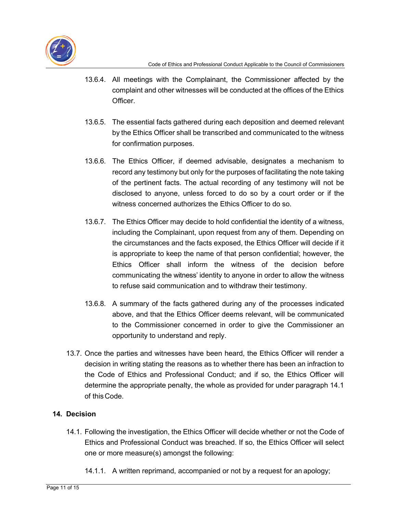

- 13.6.4. All meetings with the Complainant, the Commissioner affected by the complaint and other witnesses will be conducted at the offices of the Ethics Officer.
- 13.6.5. The essential facts gathered during each deposition and deemed relevant by the Ethics Officer shall be transcribed and communicated to the witness for confirmation purposes.
- 13.6.6. The Ethics Officer, if deemed advisable, designates a mechanism to record any testimony but only for the purposes of facilitating the note taking of the pertinent facts. The actual recording of any testimony will not be disclosed to anyone, unless forced to do so by a court order or if the witness concerned authorizes the Ethics Officer to do so.
- 13.6.7. The Ethics Officer may decide to hold confidential the identity of a witness, including the Complainant, upon request from any of them. Depending on the circumstances and the facts exposed, the Ethics Officer will decide if it is appropriate to keep the name of that person confidential; however, the Ethics Officer shall inform the witness of the decision before communicating the witness' identity to anyone in order to allow the witness to refuse said communication and to withdraw their testimony.
- 13.6.8. A summary of the facts gathered during any of the processes indicated above, and that the Ethics Officer deems relevant, will be communicated to the Commissioner concerned in order to give the Commissioner an opportunity to understand and reply.
- 13.7. Once the parties and witnesses have been heard, the Ethics Officer will render a decision in writing stating the reasons as to whether there has been an infraction to the Code of Ethics and Professional Conduct; and if so, the Ethics Officer will determine the appropriate penalty, the whole as provided for under paragraph 14.1 of this Code.

## **14. Decision**

- 14.1. Following the investigation, the Ethics Officer will decide whether or not the Code of Ethics and Professional Conduct was breached. If so, the Ethics Officer will select one or more measure(s) amongst the following:
	- 14.1.1. A written reprimand, accompanied or not by a request for an apology;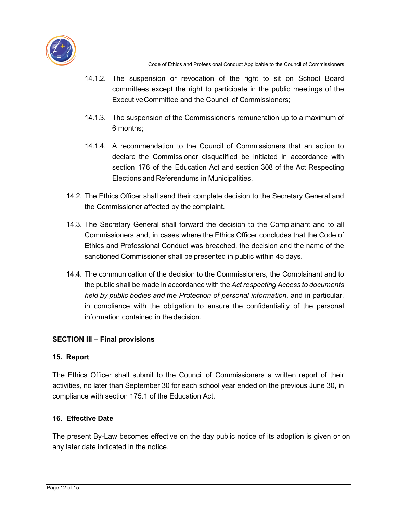

- 14.1.2. The suspension or revocation of the right to sit on School Board committees except the right to participate in the public meetings of the ExecutiveCommittee and the Council of Commissioners;
- 14.1.3. The suspension of the Commissioner's remuneration up to a maximum of 6 months;
- 14.1.4. A recommendation to the Council of Commissioners that an action to declare the Commissioner disqualified be initiated in accordance with section 176 of the Education Act and section 308 of the Act Respecting Elections and Referendums in Municipalities.
- 14.2. The Ethics Officer shall send their complete decision to the Secretary General and the Commissioner affected by the complaint.
- 14.3. The Secretary General shall forward the decision to the Complainant and to all Commissioners and, in cases where the Ethics Officer concludes that the Code of Ethics and Professional Conduct was breached, the decision and the name of the sanctioned Commissioner shall be presented in public within 45 days.
- 14.4. The communication of the decision to the Commissioners, the Complainant and to the public shall be made in accordance with the *Act respecting Access to documents held by public bodies and the Protection of personal information*, and in particular, in compliance with the obligation to ensure the confidentiality of the personal information contained in the decision.

## **SECTION III – Final provisions**

#### **15. Report**

The Ethics Officer shall submit to the Council of Commissioners a written report of their activities, no later than September 30 for each school year ended on the previous June 30, in compliance with section 175.1 of the Education Act.

#### **16. Effective Date**

The present By-Law becomes effective on the day public notice of its adoption is given or on any later date indicated in the notice.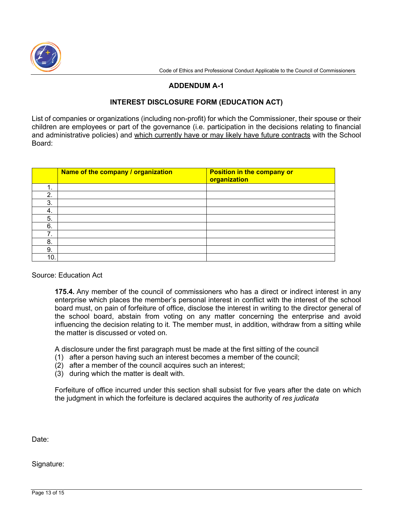

#### **ADDENDUM A-1**

#### **INTEREST DISCLOSURE FORM (EDUCATION ACT)**

List of companies or organizations (including non-profit) for which the Commissioner, their spouse or their children are employees or part of the governance (i.e. participation in the decisions relating to financial and administrative policies) and which currently have or may likely have future contracts with the School Board:

|     | Name of the company / organization | <b>Position in the company or</b><br>organization |
|-----|------------------------------------|---------------------------------------------------|
| 1.  |                                    |                                                   |
| 2.  |                                    |                                                   |
| 3.  |                                    |                                                   |
| 4.  |                                    |                                                   |
| 5.  |                                    |                                                   |
| 6.  |                                    |                                                   |
| 7.  |                                    |                                                   |
| 8.  |                                    |                                                   |
| 9.  |                                    |                                                   |
| 10. |                                    |                                                   |

#### Source: Education Act

**175.4.** Any member of the council of commissioners who has a direct or indirect interest in any enterprise which places the member's personal interest in conflict with the interest of the school board must, on pain of forfeiture of office, disclose the interest in writing to the director general of the school board, abstain from voting on any matter concerning the enterprise and avoid influencing the decision relating to it. The member must, in addition, withdraw from a sitting while the matter is discussed or voted on.

A disclosure under the first paragraph must be made at the first sitting of the council

- (1) after a person having such an interest becomes a member of the council;
- (2) after a member of the council acquires such an interest;
- (3) during which the matter is dealt with.

Forfeiture of office incurred under this section shall subsist for five years after the date on which the judgment in which the forfeiture is declared acquires the authority of *res judicata*

Date:

Signature: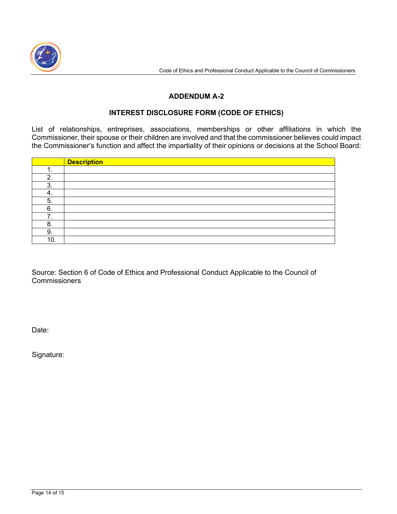

#### **ADDENDUM A-2**

#### **INTEREST DISCLOSURE FORM (CODE OF ETHICS)**

List of relationships, entreprises, associations, memberships or other affiliations in which the Commissioner, their spouse or their children are involved and that the commissioner believes could impact the Commissioner's function and affect the impartiality of their opinions or decisions at the School Board:

|         | <b>Description</b> |
|---------|--------------------|
| . .     |                    |
| າ       |                    |
| ົ<br>۰. |                    |
| 4.      |                    |
| 5.      |                    |
| 6.      |                    |
|         |                    |
| 8.      |                    |
| 9.      |                    |
| 10.     |                    |

Source: Section 6 of Code of Ethics and Professional Conduct Applicable to the Council of **Commissioners** 

Date:

Signature: